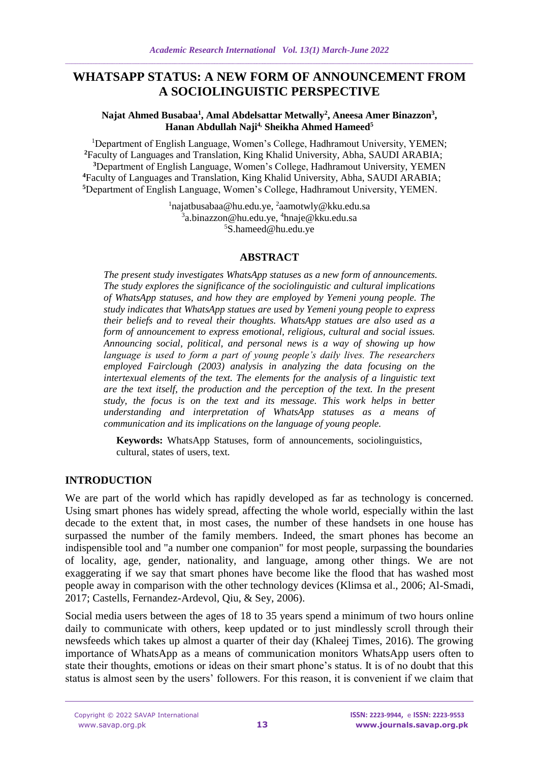# **WHATSAPP STATUS: A NEW FORM OF ANNOUNCEMENT FROM A SOCIOLINGUISTIC PERSPECTIVE**

#### **Najat Ahmed Busabaa<sup>1</sup> , Amal Abdelsattar Metwally<sup>2</sup> , Aneesa Amer Binazzon<sup>3</sup> , Hanan Abdullah Naji4, Sheikha Ahmed Hameed<sup>5</sup>**

<sup>1</sup>Department of English Language, Women's College, Hadhramout University, YEMEN; Faculty of Languages and Translation, King Khalid University, Abha, SAUDI ARABIA; Department of English Language, Women's College, Hadhramout University, YEMEN Faculty of Languages and Translation, King Khalid University, Abha, SAUDI ARABIA; Department of English Language, Women's College, Hadhramout University, YEMEN.

> <sup>1</sup>[najatbusabaa@hu.edu.ye,](mailto:najatbusabaa@hu.edu.ye) 2 aamotwly@kku.edu.sa 3 a.binazzon@hu.edu.ye, <sup>4</sup>[hnaje@kku.edu.sa](mailto:hnaje@kku.edu.sa) <sup>5</sup>S.hameed@hu.edu.ye

#### **ABSTRACT**

*The present study investigates WhatsApp statuses as a new form of announcements. The study explores the significance of the sociolinguistic and cultural implications of WhatsApp statuses, and how they are employed by Yemeni young people. The study indicates that WhatsApp statues are used by Yemeni young people to express their beliefs and to reveal their thoughts. WhatsApp statues are also used as a form of announcement to express emotional, religious, cultural and social issues. Announcing social, political, and personal news is a way of showing up how language is used to form a part of young people's daily lives. The researchers employed Fairclough (2003) analysis in analyzing the data focusing on the intertexual elements of the text. The elements for the analysis of a linguistic text are the text itself, the production and the perception of the text. In the present study, the focus is on the text and its message. This work helps in better understanding and interpretation of WhatsApp statuses as a means of communication and its implications on the language of young people.*

**Keywords:** WhatsApp Statuses, form of announcements, sociolinguistics, cultural, states of users, text.

#### **INTRODUCTION**

We are part of the world which has rapidly developed as far as technology is concerned. Using smart phones has widely spread, affecting the whole world, especially within the last decade to the extent that, in most cases, the number of these handsets in one house has surpassed the number of the family members. Indeed, the smart phones has become an indispensible tool and "a number one companion" for most people, surpassing the boundaries of locality, age, gender, nationality, and language, among other things. We are not exaggerating if we say that smart phones have become like the flood that has washed most people away in comparison with the other technology devices (Klimsa et al., 2006; Al-Smadi, 2017; Castells, Fernandez-Ardevol, Qiu, & Sey, 2006).

Social media users between the ages of 18 to 35 years spend a minimum of two hours online daily to communicate with others, keep updated or to just mindlessly scroll through their newsfeeds which takes up almost a quarter of their day (Khaleej Times, 2016). The growing importance of WhatsApp as a means of communication monitors WhatsApp users often to state their thoughts, emotions or ideas on their smart phone's status. It is of no doubt that this status is almost seen by the users' followers. For this reason, it is convenient if we claim that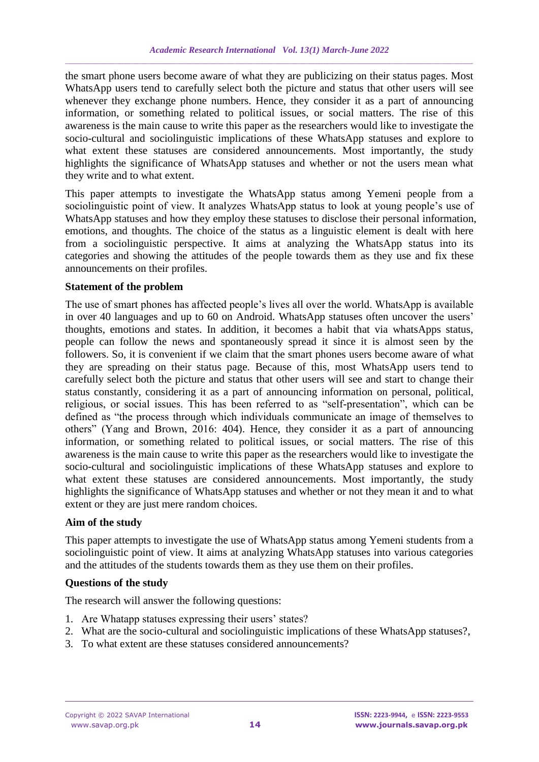the smart phone users become aware of what they are publicizing on their status pages. Most WhatsApp users tend to carefully select both the picture and status that other users will see whenever they exchange phone numbers. Hence, they consider it as a part of announcing information, or something related to political issues, or social matters. The rise of this awareness is the main cause to write this paper as the researchers would like to investigate the socio-cultural and sociolinguistic implications of these WhatsApp statuses and explore to what extent these statuses are considered announcements. Most importantly, the study highlights the significance of WhatsApp statuses and whether or not the users mean what they write and to what extent.

This paper attempts to investigate the WhatsApp status among Yemeni people from a sociolinguistic point of view. It analyzes WhatsApp status to look at young people's use of WhatsApp statuses and how they employ these statuses to disclose their personal information, emotions, and thoughts. The choice of the status as a linguistic element is dealt with here from a sociolinguistic perspective. It aims at analyzing the WhatsApp status into its categories and showing the attitudes of the people towards them as they use and fix these announcements on their profiles.

#### **Statement of the problem**

The use of smart phones has affected people's lives all over the world. WhatsApp is available in over 40 languages and up to 60 on Android. WhatsApp statuses often uncover the users' thoughts, emotions and states. In addition, it becomes a habit that via whatsApps status, people can follow the news and spontaneously spread it since it is almost seen by the followers. So, it is convenient if we claim that the smart phones users become aware of what they are spreading on their status page. Because of this, most WhatsApp users tend to carefully select both the picture and status that other users will see and start to change their status constantly, considering it as a part of announcing information on personal, political, religious, or social issues. This has been referred to as "self-presentation", which can be defined as "the process through which individuals communicate an image of themselves to others" (Yang and Brown, 2016: 404). Hence, they consider it as a part of announcing information, or something related to political issues, or social matters. The rise of this awareness is the main cause to write this paper as the researchers would like to investigate the socio-cultural and sociolinguistic implications of these WhatsApp statuses and explore to what extent these statuses are considered announcements. Most importantly, the study highlights the significance of WhatsApp statuses and whether or not they mean it and to what extent or they are just mere random choices.

### **Aim of the study**

This paper attempts to investigate the use of WhatsApp status among Yemeni students from a sociolinguistic point of view. It aims at analyzing WhatsApp statuses into various categories and the attitudes of the students towards them as they use them on their profiles.

### **Questions of the study**

The research will answer the following questions:

- 1. Are Whatapp statuses expressing their users' states?
- 2. What are the socio-cultural and sociolinguistic implications of these WhatsApp statuses?,
- 3. To what extent are these statuses considered announcements?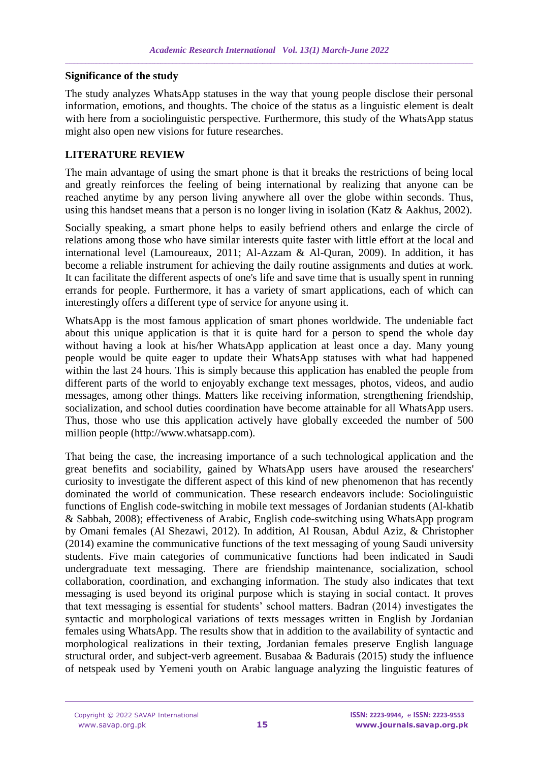#### **Significance of the study**

The study analyzes WhatsApp statuses in the way that young people disclose their personal information, emotions, and thoughts. The choice of the status as a linguistic element is dealt with here from a sociolinguistic perspective. Furthermore, this study of the WhatsApp status might also open new visions for future researches.

## **LITERATURE REVIEW**

The main advantage of using the smart phone is that it breaks the restrictions of being local and greatly reinforces the feeling of being international by realizing that anyone can be reached anytime by any person living anywhere all over the globe within seconds. Thus, using this handset means that a person is no longer living in isolation (Katz & Aakhus, 2002).

Socially speaking, a smart phone helps to easily befriend others and enlarge the circle of relations among those who have similar interests quite faster with little effort at the local and international level (Lamoureaux, 2011; Al-Azzam & Al-Quran, 2009). In addition, it has become a reliable instrument for achieving the daily routine assignments and duties at work. It can facilitate the different aspects of one's life and save time that is usually spent in running errands for people. Furthermore, it has a variety of smart applications, each of which can interestingly offers a different type of service for anyone using it.

WhatsApp is the most famous application of smart phones worldwide. The undeniable fact about this unique application is that it is quite hard for a person to spend the whole day without having a look at his/her WhatsApp application at least once a day. Many young people would be quite eager to update their WhatsApp statuses with what had happened within the last 24 hours. This is simply because this application has enabled the people from different parts of the world to enjoyably exchange text messages, photos, videos, and audio messages, among other things. Matters like receiving information, strengthening friendship, socialization, and school duties coordination have become attainable for all WhatsApp users. Thus, those who use this application actively have globally exceeded the number of 500 million people (http://www.whatsapp.com).

That being the case, the increasing importance of a such technological application and the great benefits and sociability, gained by WhatsApp users have aroused the researchers' curiosity to investigate the different aspect of this kind of new phenomenon that has recently dominated the world of communication. These research endeavors include: Sociolinguistic functions of English code-switching in mobile text messages of Jordanian students (Al-khatib & Sabbah, 2008); effectiveness of Arabic, English code-switching using WhatsApp program by Omani females (Al Shezawi, 2012). In addition, Al Rousan, Abdul Aziz, & Christopher (2014) examine the communicative functions of the text messaging of young Saudi university students. Five main categories of communicative functions had been indicated in Saudi undergraduate text messaging. There are friendship maintenance, socialization, school collaboration, coordination, and exchanging information. The study also indicates that text messaging is used beyond its original purpose which is staying in social contact. It proves that text messaging is essential for students' school matters. Badran (2014) investigates the syntactic and morphological variations of texts messages written in English by Jordanian females using WhatsApp. The results show that in addition to the availability of syntactic and morphological realizations in their texting, Jordanian females preserve English language structural order, and subject-verb agreement. Busabaa & Badurais (2015) study the influence of netspeak used by Yemeni youth on Arabic language analyzing the linguistic features of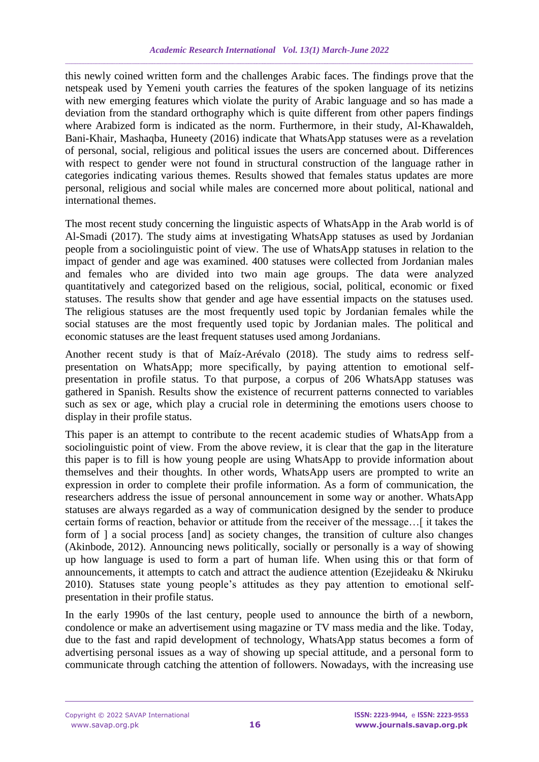this newly coined written form and the challenges Arabic faces. The findings prove that the netspeak used by Yemeni youth carries the features of the spoken language of its netizins with new emerging features which violate the purity of Arabic language and so has made a deviation from the standard orthography which is quite different from other papers findings where Arabized form is indicated as the norm. Furthermore, in their study, Al-Khawaldeh, Bani-Khair, Mashaqba, Huneety (2016) indicate that WhatsApp statuses were as a revelation of personal, social, religious and political issues the users are concerned about. Differences with respect to gender were not found in structural construction of the language rather in categories indicating various themes. Results showed that females status updates are more personal, religious and social while males are concerned more about political, national and international themes.

The most recent study concerning the linguistic aspects of WhatsApp in the Arab world is of Al-Smadi (2017). The study aims at investigating WhatsApp statuses as used by Jordanian people from a sociolinguistic point of view. The use of WhatsApp statuses in relation to the impact of gender and age was examined. 400 statuses were collected from Jordanian males and females who are divided into two main age groups. The data were analyzed quantitatively and categorized based on the religious, social, political, economic or fixed statuses. The results show that gender and age have essential impacts on the statuses used. The religious statuses are the most frequently used topic by Jordanian females while the social statuses are the most frequently used topic by Jordanian males. The political and economic statuses are the least frequent statuses used among Jordanians.

Another recent study is that of Maíz-Arévalo (2018). The study aims to redress selfpresentation on WhatsApp; more specifically, by paying attention to emotional selfpresentation in profile status. To that purpose, a corpus of 206 WhatsApp statuses was gathered in Spanish. Results show the existence of recurrent patterns connected to variables such as sex or age, which play a crucial role in determining the emotions users choose to display in their profile status.

This paper is an attempt to contribute to the recent academic studies of WhatsApp from a sociolinguistic point of view. From the above review, it is clear that the gap in the literature this paper is to fill is how young people are using WhatsApp to provide information about themselves and their thoughts. In other words, WhatsApp users are prompted to write an expression in order to complete their profile information. As a form of communication, the researchers address the issue of personal announcement in some way or another. WhatsApp statuses are always regarded as a way of communication designed by the sender to produce certain forms of reaction, behavior or attitude from the receiver of the message…[ it takes the form of ] a social process [and] as society changes, the transition of culture also changes (Akinbode, 2012). Announcing news politically, socially or personally is a way of showing up how language is used to form a part of human life. When using this or that form of announcements, it attempts to catch and attract the audience attention (Ezejideaku & Nkiruku 2010). Statuses state young people's attitudes as they pay attention to emotional selfpresentation in their profile status.

In the early 1990s of the last century, people used to announce the birth of a newborn, condolence or make an advertisement using magazine or TV mass media and the like. Today, due to the fast and rapid development of technology, WhatsApp status becomes a form of advertising personal issues as a way of showing up special attitude, and a personal form to communicate through catching the attention of followers. Nowadays, with the increasing use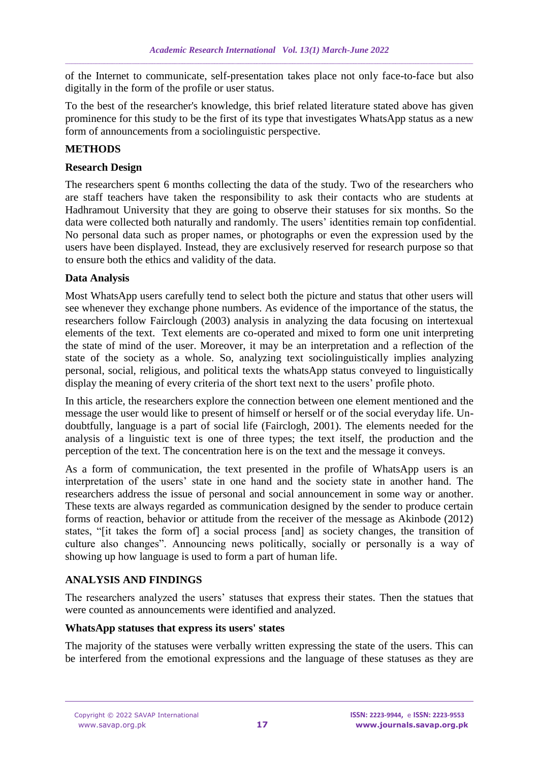of the Internet to communicate, self-presentation takes place not only face-to-face but also digitally in the form of the profile or user status.

To the best of the researcher's knowledge, this brief related literature stated above has given prominence for this study to be the first of its type that investigates WhatsApp status as a new form of announcements from a sociolinguistic perspective.

## **METHODS**

#### **Research Design**

The researchers spent 6 months collecting the data of the study. Two of the researchers who are staff teachers have taken the responsibility to ask their contacts who are students at Hadhramout University that they are going to observe their statuses for six months. So the data were collected both naturally and randomly. The users' identities remain top confidential. No personal data such as proper names, or photographs or even the expression used by the users have been displayed. Instead, they are exclusively reserved for research purpose so that to ensure both the ethics and validity of the data.

### **Data Analysis**

Most WhatsApp users carefully tend to select both the picture and status that other users will see whenever they exchange phone numbers. As evidence of the importance of the status, the researchers follow Fairclough (2003) analysis in analyzing the data focusing on intertexual elements of the text. Text elements are co-operated and mixed to form one unit interpreting the state of mind of the user. Moreover, it may be an interpretation and a reflection of the state of the society as a whole. So, analyzing text sociolinguistically implies analyzing personal, social, religious, and political texts the whatsApp status conveyed to linguistically display the meaning of every criteria of the short text next to the users' profile photo.

In this article, the researchers explore the connection between one element mentioned and the message the user would like to present of himself or herself or of the social everyday life. Undoubtfully, language is a part of social life (Fairclogh, 2001). The elements needed for the analysis of a linguistic text is one of three types; the text itself, the production and the perception of the text. The concentration here is on the text and the message it conveys.

As a form of communication, the text presented in the profile of WhatsApp users is an interpretation of the users' state in one hand and the society state in another hand. The researchers address the issue of personal and social announcement in some way or another. These texts are always regarded as communication designed by the sender to produce certain forms of reaction, behavior or attitude from the receiver of the message as Akinbode (2012) states, "[it takes the form of] a social process [and] as society changes, the transition of culture also changes". Announcing news politically, socially or personally is a way of showing up how language is used to form a part of human life.

### **ANALYSIS AND FINDINGS**

The researchers analyzed the users' statuses that express their states. Then the statues that were counted as announcements were identified and analyzed.

### **WhatsApp statuses that express its users' states**

The majority of the statuses were verbally written expressing the state of the users. This can be interfered from the emotional expressions and the language of these statuses as they are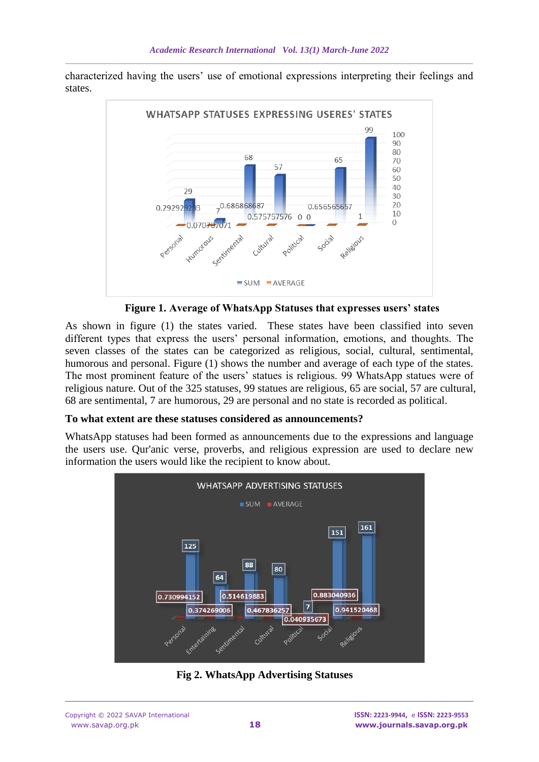characterized having the users' use of emotional expressions interpreting their feelings and states.



 **Figure 1. Average of WhatsApp Statuses that expresses users' states**

As shown in figure (1) the states varied. These states have been classified into seven different types that express the users' personal information, emotions, and thoughts. The seven classes of the states can be categorized as religious, social, cultural, sentimental, humorous and personal. Figure (1) shows the number and average of each type of the states. The most prominent feature of the users' statues is religious. 99 WhatsApp statues were of religious nature. Out of the 325 statuses, 99 statues are religious, 65 are social, 57 are cultural, 68 are sentimental, 7 are humorous, 29 are personal and no state is recorded as political.

#### **To what extent are these statuses considered as announcements?**

WhatsApp statuses had been formed as announcements due to the expressions and language the users use. Qur'anic verse, proverbs, and religious expression are used to declare new information the users would like the recipient to know about.



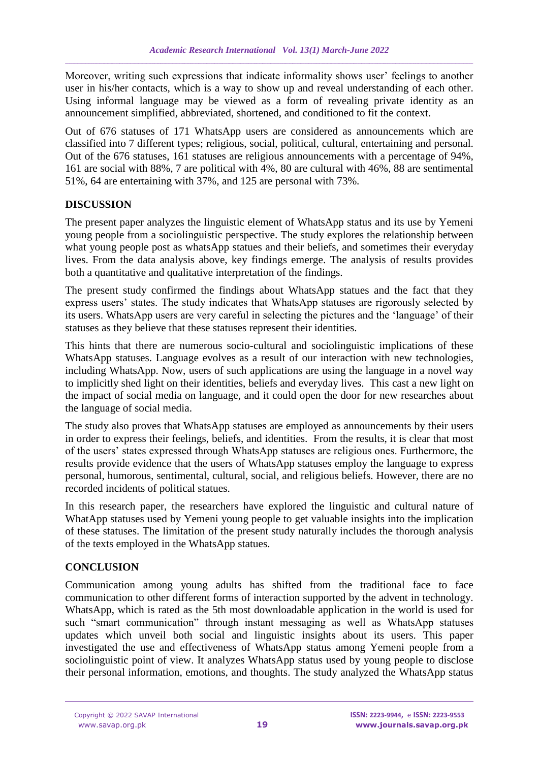Moreover, writing such expressions that indicate informality shows user' feelings to another user in his/her contacts, which is a way to show up and reveal understanding of each other. Using informal language may be viewed as a form of revealing private identity as an announcement simplified, abbreviated, shortened, and conditioned to fit the context.

Out of 676 statuses of 171 WhatsApp users are considered as announcements which are classified into 7 different types; religious, social, political, cultural, entertaining and personal. Out of the 676 statuses, 161 statuses are religious announcements with a percentage of 94%, 161 are social with 88%, 7 are political with 4%, 80 are cultural with 46%, 88 are sentimental 51%, 64 are entertaining with 37%, and 125 are personal with 73%.

### **DISCUSSION**

The present paper analyzes the linguistic element of WhatsApp status and its use by Yemeni young people from a sociolinguistic perspective. The study explores the relationship between what young people post as whatsApp statues and their beliefs, and sometimes their everyday lives. From the data analysis above, key findings emerge. The analysis of results provides both a quantitative and qualitative interpretation of the findings.

The present study confirmed the findings about WhatsApp statues and the fact that they express users' states. The study indicates that WhatsApp statuses are rigorously selected by its users. WhatsApp users are very careful in selecting the pictures and the 'language' of their statuses as they believe that these statuses represent their identities.

This hints that there are numerous socio-cultural and sociolinguistic implications of these WhatsApp statuses. Language evolves as a result of our interaction with new technologies, including WhatsApp. Now, users of such applications are using the language in a novel way to implicitly shed light on their identities, beliefs and everyday lives. This cast a new light on the impact of social media on language, and it could open the door for new researches about the language of social media.

The study also proves that WhatsApp statuses are employed as announcements by their users in order to express their feelings, beliefs, and identities. From the results, it is clear that most of the users' states expressed through WhatsApp statuses are religious ones. Furthermore, the results provide evidence that the users of WhatsApp statuses employ the language to express personal, humorous, sentimental, cultural, social, and religious beliefs. However, there are no recorded incidents of political statues.

In this research paper, the researchers have explored the linguistic and cultural nature of WhatApp statuses used by Yemeni young people to get valuable insights into the implication of these statuses. The limitation of the present study naturally includes the thorough analysis of the texts employed in the WhatsApp statues.

### **CONCLUSION**

Communication among young adults has shifted from the traditional face to face communication to other different forms of interaction supported by the advent in technology. WhatsApp, which is rated as the 5th most downloadable application in the world is used for such "smart communication" through instant messaging as well as WhatsApp statuses updates which unveil both social and linguistic insights about its users. This paper investigated the use and effectiveness of WhatsApp status among Yemeni people from a sociolinguistic point of view. It analyzes WhatsApp status used by young people to disclose their personal information, emotions, and thoughts. The study analyzed the WhatsApp status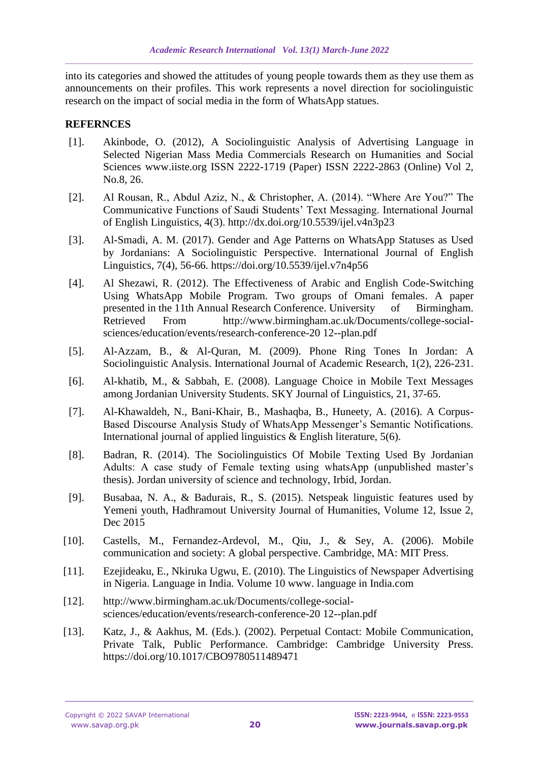into its categories and showed the attitudes of young people towards them as they use them as announcements on their profiles. This work represents a novel direction for sociolinguistic research on the impact of social media in the form of WhatsApp statues.

### **REFERNCES**

- [1]. Akinbode, O. (2012), A Sociolinguistic Analysis of Advertising Language in Selected Nigerian Mass Media Commercials Research on Humanities and Social Sciences www.iiste.org ISSN 2222-1719 (Paper) ISSN 2222-2863 (Online) Vol 2, No.8, 26.
- [2]. Al Rousan, R., Abdul Aziz, N., & Christopher, A. (2014). "Where Are You?" The Communicative Functions of Saudi Students' Text Messaging. International Journal of English Linguistics, 4(3). http://dx.doi.org/10.5539/ijel.v4n3p23
- [3]. Al-Smadi, A. M. (2017). Gender and Age Patterns on WhatsApp Statuses as Used by Jordanians: A Sociolinguistic Perspective. International Journal of English Linguistics, 7(4), 56-66. https://doi.org/10.5539/ijel.v7n4p56
- [4]. Al Shezawi, R. (2012). The Effectiveness of Arabic and English Code-Switching Using WhatsApp Mobile Program. Two groups of Omani females. A paper presented in the 11th Annual Research Conference. University of Birmingham. Retrieved From http://www.birmingham.ac.uk/Documents/college-socialsciences/education/events/research-conference-20 12--plan.pdf
- [5]. Al-Azzam, B., & Al-Quran, M. (2009). Phone Ring Tones In Jordan: A Sociolinguistic Analysis. International Journal of Academic Research, 1(2), 226-231.
- [6]. Al-khatib, M., & Sabbah, E. (2008). Language Choice in Mobile Text Messages among Jordanian University Students. SKY Journal of Linguistics, 21, 37-65.
- [7]. Al-Khawaldeh, N., Bani-Khair, B., Mashaqba, B., Huneety, A. (2016). A Corpus-Based Discourse Analysis Study of WhatsApp Messenger's Semantic Notifications. International journal of applied linguistics  $\&$  English literature, 5(6).
- [8]. Badran, R. (2014). The Sociolinguistics Of Mobile Texting Used By Jordanian Adults: A case study of Female texting using whatsApp (unpublished master's thesis). Jordan university of science and technology, Irbid, Jordan.
- [9]. Busabaa, N. A., & Badurais, R., S. (2015). Netspeak linguistic features used by Yemeni youth, Hadhramout University Journal of Humanities, Volume 12, Issue 2, Dec 2015
- [10]. Castells, M., Fernandez-Ardevol, M., Qiu, J., & Sey, A. (2006). Mobile communication and society: A global perspective. Cambridge, MA: MIT Press.
- [11]. Ezejideaku, E., Nkiruka Ugwu, E. (2010). The Linguistics of Newspaper Advertising in Nigeria. Language in India. Volume 10 www. language in India.com
- [12]. http://www.birmingham.ac.uk/Documents/college-socialsciences/education/events/research-conference-20 12--plan.pdf
- [13]. Katz, J., & Aakhus, M. (Eds.). (2002). Perpetual Contact: Mobile Communication, Private Talk, Public Performance. Cambridge: Cambridge University Press. https://doi.org/10.1017/CBO9780511489471